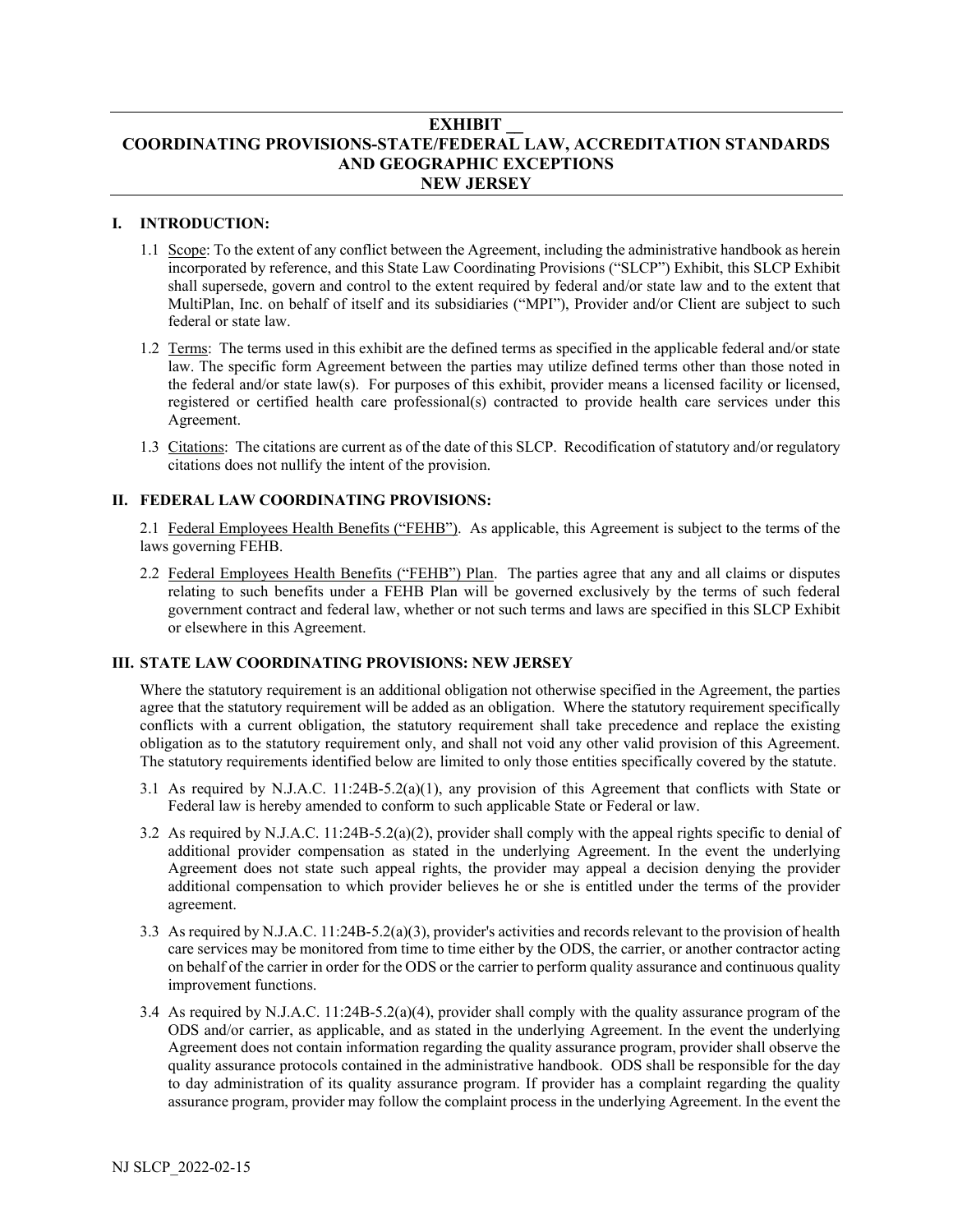# **EXHIBIT \_\_ COORDINATING PROVISIONS-STATE/FEDERAL LAW, ACCREDITATION STANDARDS AND GEOGRAPHIC EXCEPTIONS NEW JERSEY**

#### **I. INTRODUCTION:**

- 1.1 Scope: To the extent of any conflict between the Agreement, including the administrative handbook as herein incorporated by reference, and this State Law Coordinating Provisions ("SLCP") Exhibit, this SLCP Exhibit shall supersede, govern and control to the extent required by federal and/or state law and to the extent that MultiPlan, Inc. on behalf of itself and its subsidiaries ("MPI"), Provider and/or Client are subject to such federal or state law.
- 1.2 Terms: The terms used in this exhibit are the defined terms as specified in the applicable federal and/or state law. The specific form Agreement between the parties may utilize defined terms other than those noted in the federal and/or state law(s). For purposes of this exhibit, provider means a licensed facility or licensed, registered or certified health care professional(s) contracted to provide health care services under this Agreement.
- 1.3 Citations: The citations are current as of the date of this SLCP. Recodification of statutory and/or regulatory citations does not nullify the intent of the provision.

#### **II. FEDERAL LAW COORDINATING PROVISIONS:**

2.1 Federal Employees Health Benefits ("FEHB"). As applicable, this Agreement is subject to the terms of the laws governing FEHB.

2.2 Federal Employees Health Benefits ("FEHB") Plan. The parties agree that any and all claims or disputes relating to such benefits under a FEHB Plan will be governed exclusively by the terms of such federal government contract and federal law, whether or not such terms and laws are specified in this SLCP Exhibit or elsewhere in this Agreement.

## **III. STATE LAW COORDINATING PROVISIONS: NEW JERSEY**

Where the statutory requirement is an additional obligation not otherwise specified in the Agreement, the parties agree that the statutory requirement will be added as an obligation. Where the statutory requirement specifically conflicts with a current obligation, the statutory requirement shall take precedence and replace the existing obligation as to the statutory requirement only, and shall not void any other valid provision of this Agreement. The statutory requirements identified below are limited to only those entities specifically covered by the statute.

- 3.1 As required by N.J.A.C. 11:24B-5.2(a)(1), any provision of this Agreement that conflicts with State or Federal law is hereby amended to conform to such applicable State or Federal or law.
- 3.2 As required by N.J.A.C. 11:24B-5.2(a)(2), provider shall comply with the appeal rights specific to denial of additional provider compensation as stated in the underlying Agreement. In the event the underlying Agreement does not state such appeal rights, the provider may appeal a decision denying the provider additional compensation to which provider believes he or she is entitled under the terms of the provider agreement.
- 3.3 As required by N.J.A.C. 11:24B-5.2(a)(3), provider's activities and records relevant to the provision of health care services may be monitored from time to time either by the ODS, the carrier, or another contractor acting on behalf of the carrier in order for the ODS or the carrier to perform quality assurance and continuous quality improvement functions.
- 3.4 As required by N.J.A.C. 11:24B-5.2(a)(4), provider shall comply with the quality assurance program of the ODS and/or carrier, as applicable, and as stated in the underlying Agreement. In the event the underlying Agreement does not contain information regarding the quality assurance program, provider shall observe the quality assurance protocols contained in the administrative handbook. ODS shall be responsible for the day to day administration of its quality assurance program. If provider has a complaint regarding the quality assurance program, provider may follow the complaint process in the underlying Agreement. In the event the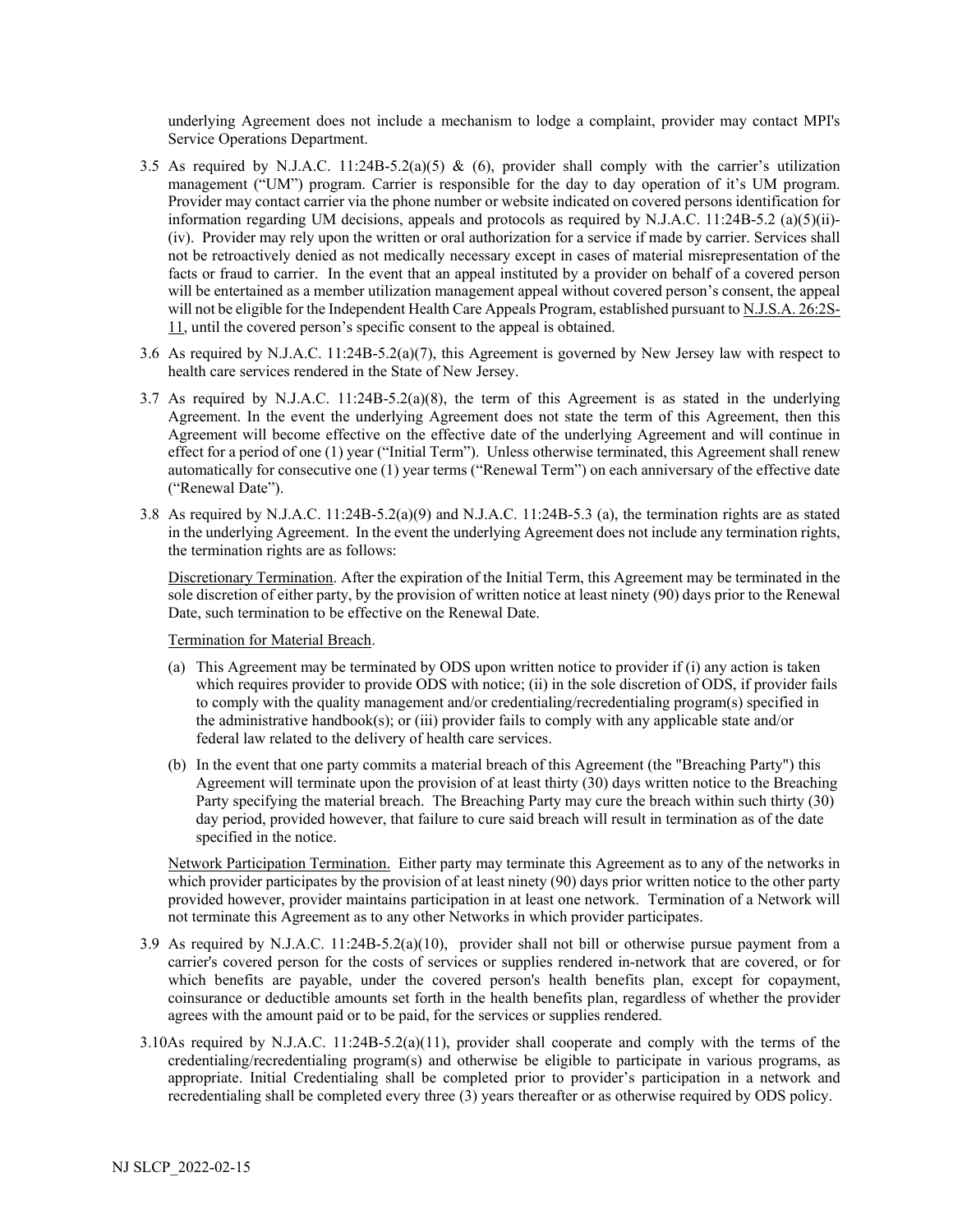underlying Agreement does not include a mechanism to lodge a complaint, provider may contact MPI's Service Operations Department.

- 3.5 As required by N.J.A.C. 11:24B-5.2(a)(5) & (6), provider shall comply with the carrier's utilization management ("UM") program. Carrier is responsible for the day to day operation of it's UM program. Provider may contact carrier via the phone number or website indicated on covered persons identification for information regarding UM decisions, appeals and protocols as required by N.J.A.C. 11:24B-5.2 (a)(5)(ii)- (iv). Provider may rely upon the written or oral authorization for a service if made by carrier. Services shall not be retroactively denied as not medically necessary except in cases of material misrepresentation of the facts or fraud to carrier. In the event that an appeal instituted by a provider on behalf of a covered person will be entertained as a member utilization management appeal without covered person's consent, the appeal will not be eligible for the Independent Health Care Appeals Program, established pursuant t[o N.J.S.A. 26:2S-](https://advance.lexis.com/search/practicepagesearch/?pdmfid=1000516&crid=16479ee8-2926-43a5-ae00-f89fc24d4203&pdstartin=hlct%3A1%3A1&pdtypeofsearch=searchboxclick&pdsearchterms=N.J.A.C.+11%3A24B-5.2&pdsearchtype=SearchBox&pdqttype=and&pdpsf=&ecomp=c85hk&earg=pdpsf&prid=d795341a-7277-40f9-9ef9-9856903367db)[11,](https://advance.lexis.com/search/practicepagesearch/?pdmfid=1000516&crid=16479ee8-2926-43a5-ae00-f89fc24d4203&pdstartin=hlct%3A1%3A1&pdtypeofsearch=searchboxclick&pdsearchterms=N.J.A.C.+11%3A24B-5.2&pdsearchtype=SearchBox&pdqttype=and&pdpsf=&ecomp=c85hk&earg=pdpsf&prid=d795341a-7277-40f9-9ef9-9856903367db) until the covered person's specific consent to the appeal is obtained.
- 3.6 As required by N.J.A.C. 11:24B-5.2(a)(7), this Agreement is governed by New Jersey law with respect to health care services rendered in the State of New Jersey.
- 3.7 As required by N.J.A.C. 11:24B-5.2(a)(8), the term of this Agreement is as stated in the underlying Agreement. In the event the underlying Agreement does not state the term of this Agreement, then this Agreement will become effective on the effective date of the underlying Agreement and will continue in effect for a period of one (1) year ("Initial Term"). Unless otherwise terminated, this Agreement shall renew automatically for consecutive one (1) year terms ("Renewal Term") on each anniversary of the effective date ("Renewal Date").
- 3.8 As required by N.J.A.C. 11:24B-5.2(a)(9) and N.J.A.C. 11:24B-5.3 (a), the termination rights are as stated in the underlying Agreement. In the event the underlying Agreement does not include any termination rights, the termination rights are as follows:

Discretionary Termination. After the expiration of the Initial Term, this Agreement may be terminated in the sole discretion of either party, by the provision of written notice at least ninety (90) days prior to the Renewal Date, such termination to be effective on the Renewal Date.

Termination for Material Breach.

- (a) This Agreement may be terminated by ODS upon written notice to provider if (i) any action is taken which requires provider to provide ODS with notice; (ii) in the sole discretion of ODS, if provider fails to comply with the quality management and/or credentialing/recredentialing program(s) specified in the administrative handbook(s); or (iii) provider fails to comply with any applicable state and/or federal law related to the delivery of health care services.
- (b) In the event that one party commits a material breach of this Agreement (the "Breaching Party") this Agreement will terminate upon the provision of at least thirty (30) days written notice to the Breaching Party specifying the material breach. The Breaching Party may cure the breach within such thirty (30) day period, provided however, that failure to cure said breach will result in termination as of the date specified in the notice.

Network Participation Termination. Either party may terminate this Agreement as to any of the networks in which provider participates by the provision of at least ninety (90) days prior written notice to the other party provided however, provider maintains participation in at least one network. Termination of a Network will not terminate this Agreement as to any other Networks in which provider participates.

- 3.9 As required by N.J.A.C. 11:24B-5.2(a)(10), provider shall not bill or otherwise pursue payment from a carrier's covered person for the costs of services or supplies rendered in-network that are covered, or for which benefits are payable, under the covered person's health benefits plan, except for copayment, coinsurance or deductible amounts set forth in the health benefits plan, regardless of whether the provider agrees with the amount paid or to be paid, for the services or supplies rendered.
- 3.10As required by N.J.A.C. 11:24B-5.2(a)(11), provider shall cooperate and comply with the terms of the credentialing/recredentialing program(s) and otherwise be eligible to participate in various programs, as appropriate. Initial Credentialing shall be completed prior to provider's participation in a network and recredentialing shall be completed every three (3) years thereafter or as otherwise required by ODS policy.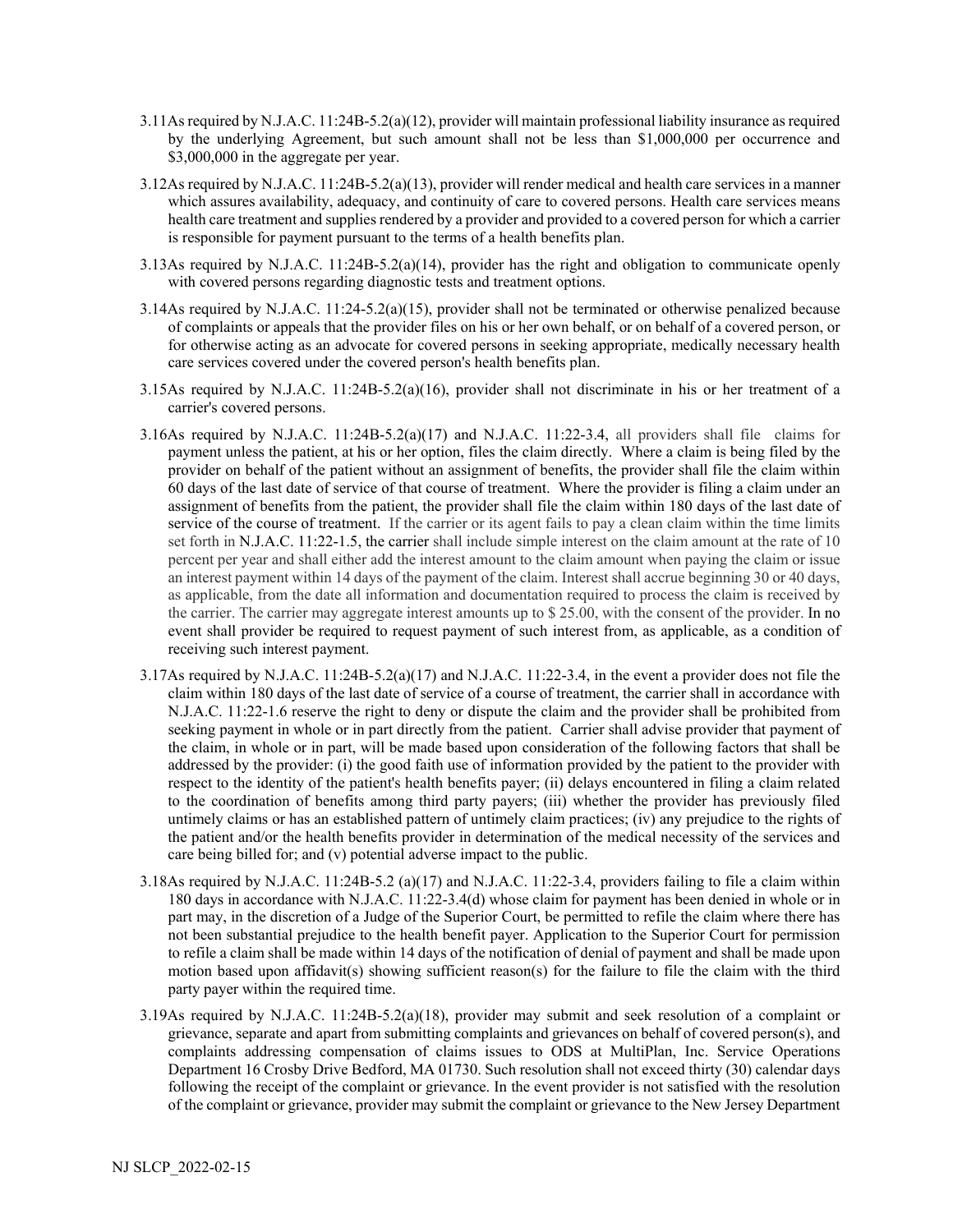- 3.11As required by N.J.A.C. 11:24B-5.2(a)(12), provider will maintain professional liability insurance as required by the underlying Agreement, but such amount shall not be less than \$1,000,000 per occurrence and \$3,000,000 in the aggregate per year.
- 3.12As required by N.J.A.C. 11:24B-5.2(a)(13), provider will render medical and health care services in a manner which assures availability, adequacy, and continuity of care to covered persons. Health care services means health care treatment and supplies rendered by a provider and provided to a covered person for which a carrier is responsible for payment pursuant to the terms of a health benefits plan.
- 3.13As required by N.J.A.C. 11:24B-5.2(a)(14), provider has the right and obligation to communicate openly with covered persons regarding diagnostic tests and treatment options.
- 3.14As required by N.J.A.C. 11:24-5.2(a)(15), provider shall not be terminated or otherwise penalized because of complaints or appeals that the provider files on his or her own behalf, or on behalf of a covered person, or for otherwise acting as an advocate for covered persons in seeking appropriate, medically necessary health care services covered under the covered person's health benefits plan.
- 3.15As required by N.J.A.C. 11:24B-5.2(a)(16), provider shall not discriminate in his or her treatment of a carrier's covered persons.
- 3.16As required by N.J.A.C.  $11:24B-5.2(a)(17)$  and N.J.A.C.  $11:22-3.4$ , all providers shall file claims for payment unless the patient, at his or her option, files the claim directly. Where a claim is being filed by the provider on behalf of the patient without an assignment of benefits, the provider shall file the claim within 60 days of the last date of service of that course of treatment. Where the provider is filing a claim under an assignment of benefits from the patient, the provider shall file the claim within 180 days of the last date of service of the course of treatment. If the carrier or its agent fails to pay a clean claim within the time limits set forth in [N.J.A.C. 11:22-1.5,](https://www.lexis.com/research/buttonTFLink?_m=39aa2d63d2ff21ad8f2761adc71b2ac3&_xfercite=%3ccite%20cc%3d%22USA%22%3e%3c%21%5bCDATA%5bN.J.A.C.%2011%3a22-1.6%5d%5d%3e%3c%2fcite%3e&_butType=4&_butStat=0&_butNum=3&_butInline=1&_butinfo=NJ%20ADMIN%2011%3a22-1.5&_fmtstr=FULL&docnum=1&_startdoc=1&wchp=dGLzVzk-zSkAA&_md5=c072da2121b7f34b85dc33afc2fc2ccf) the carrier shall include simple interest on the claim amount at the rate of 10 percent per year and shall either add the interest amount to the claim amount when paying the claim or issue an interest payment within 14 days of the payment of the claim. Interest shall accrue beginning 30 or 40 days, as applicable, from the date all information and documentation required to process the claim is received by the carrier. The carrier may aggregate interest amounts up to \$ 25.00, with the consent of the provider. In no event shall provider be required to request payment of such interest from, as applicable, as a condition of receiving such interest payment.
- 3.17As required by N.J.A.C. 11:24B-5.2(a)(17) and N.J.A.C. 11:22-3.4, in the event a provider does not file the claim within 180 days of the last date of service of a course of treatment, the carrier shall in accordance with [N.J.A.C. 11:22-1.6](https://www.lexis.com/research/buttonTFLink?_m=d84eeb628b90eea4184543f624eace46&_xfercite=%3ccite%20cc%3d%22USA%22%3e%3c%21%5bCDATA%5bN.J.A.C.%2011%3a22-3.4%5d%5d%3e%3c%2fcite%3e&_butType=4&_butStat=0&_butNum=1&_butInline=1&_butinfo=NJ%20ADMIN%2011%3a22-1.6&_fmtstr=FULL&docnum=1&_startdoc=1&wchp=dGLbVzt-zSkAb&_md5=090e8c64869c77693084d3bedbd3b59a) reserve the right to deny or dispute the claim and the provider shall be prohibited from seeking payment in whole or in part directly from the patient. Carrier shall advise provider that payment of the claim, in whole or in part, will be made based upon consideration of the following factors that shall be addressed by the provider: (i) the good faith use of information provided by the patient to the provider with respect to the identity of the patient's health benefits payer; (ii) delays encountered in filing a claim related to the coordination of benefits among third party payers; (iii) whether the provider has previously filed untimely claims or has an established pattern of untimely claim practices; (iv) any prejudice to the rights of the patient and/or the health benefits provider in determination of the medical necessity of the services and care being billed for; and (v) potential adverse impact to the public.
- 3.18As required by N.J.A.C. 11:24B-5.2 (a)(17) and N.J.A.C. 11:22-3.4, providers failing to file a claim within 180 days in accordance with N.J.A.C. 11:22-3.4(d) whose claim for payment has been denied in whole or in part may, in the discretion of a Judge of the Superior Court, be permitted to refile the claim where there has not been substantial prejudice to the health benefit payer. Application to the Superior Court for permission to refile a claim shall be made within 14 days of the notification of denial of payment and shall be made upon motion based upon affidavit(s) showing sufficient reason(s) for the failure to file the claim with the third party payer within the required time.
- 3.19As required by N.J.A.C. 11:24B-5.2(a)(18), provider may submit and seek resolution of a complaint or grievance, separate and apart from submitting complaints and grievances on behalf of covered person(s), and complaints addressing compensation of claims issues to ODS at MultiPlan, Inc. Service Operations Department 16 Crosby Drive Bedford, MA 01730. Such resolution shall not exceed thirty (30) calendar days following the receipt of the complaint or grievance. In the event provider is not satisfied with the resolution of the complaint or grievance, provider may submit the complaint or grievance to the New Jersey Department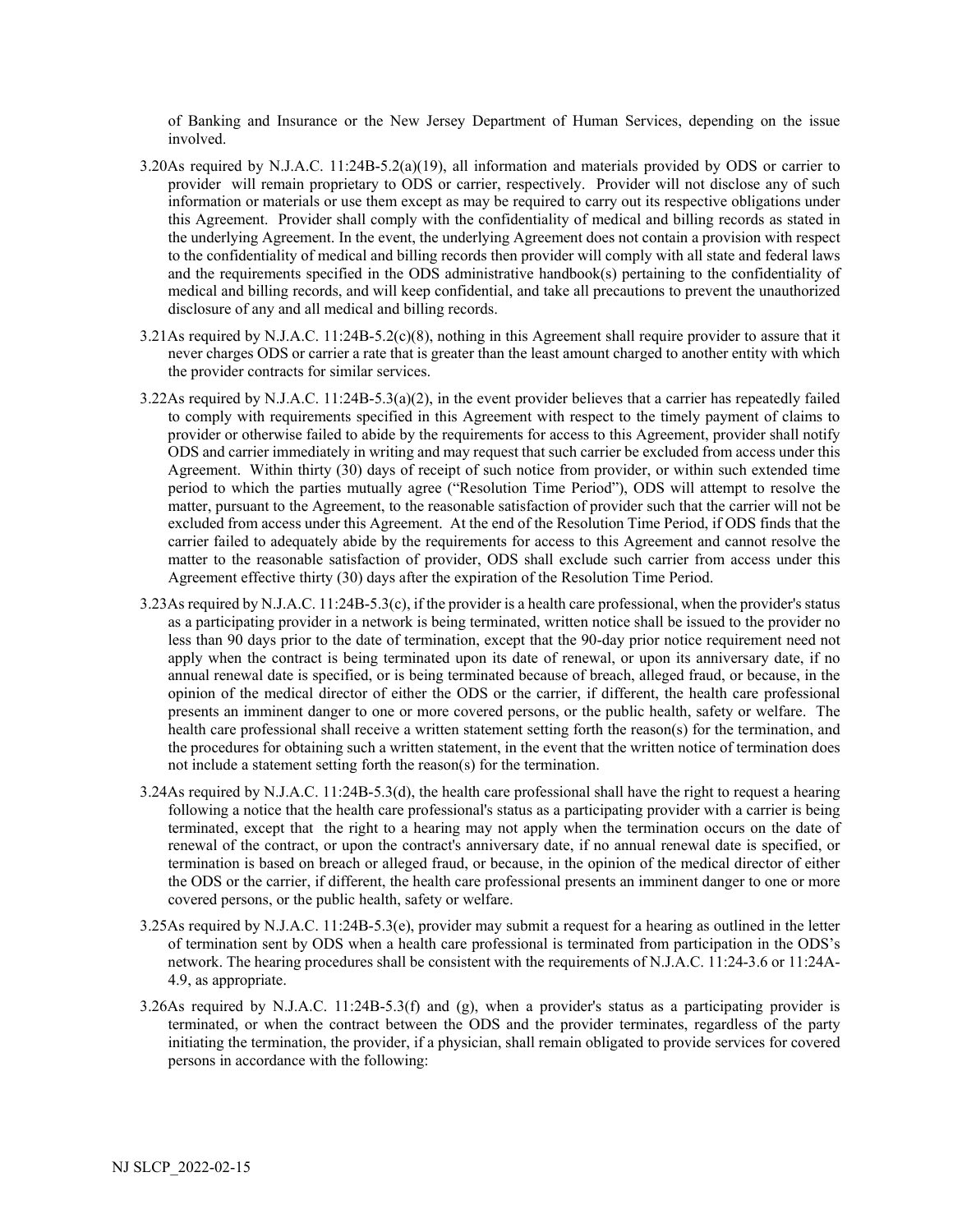of Banking and Insurance or the New Jersey Department of Human Services, depending on the issue involved.

- 3.20As required by N.J.A.C. 11:24B-5.2(a)(19), all information and materials provided by ODS or carrier to provider will remain proprietary to ODS or carrier, respectively. Provider will not disclose any of such information or materials or use them except as may be required to carry out its respective obligations under this Agreement. Provider shall comply with the confidentiality of medical and billing records as stated in the underlying Agreement. In the event, the underlying Agreement does not contain a provision with respect to the confidentiality of medical and billing records then provider will comply with all state and federal laws and the requirements specified in the ODS administrative handbook(s) pertaining to the confidentiality of medical and billing records, and will keep confidential, and take all precautions to prevent the unauthorized disclosure of any and all medical and billing records.
- 3.21As required by N.J.A.C. 11:24B-5.2(c)(8), nothing in this Agreement shall require provider to assure that it never charges ODS or carrier a rate that is greater than the least amount charged to another entity with which the provider contracts for similar services.
- 3.22As required by N.J.A.C. 11:24B-5.3(a)(2), in the event provider believes that a carrier has repeatedly failed to comply with requirements specified in this Agreement with respect to the timely payment of claims to provider or otherwise failed to abide by the requirements for access to this Agreement, provider shall notify ODS and carrier immediately in writing and may request that such carrier be excluded from access under this Agreement. Within thirty (30) days of receipt of such notice from provider, or within such extended time period to which the parties mutually agree ("Resolution Time Period"), ODS will attempt to resolve the matter, pursuant to the Agreement, to the reasonable satisfaction of provider such that the carrier will not be excluded from access under this Agreement. At the end of the Resolution Time Period, if ODS finds that the carrier failed to adequately abide by the requirements for access to this Agreement and cannot resolve the matter to the reasonable satisfaction of provider, ODS shall exclude such carrier from access under this Agreement effective thirty (30) days after the expiration of the Resolution Time Period.
- 3.23As required by N.J.A.C. 11:24B-5.3(c), if the provider is a health care professional, when the provider's status as a participating provider in a network is being terminated, written notice shall be issued to the provider no less than 90 days prior to the date of termination, except that the 90-day prior notice requirement need not apply when the contract is being terminated upon its date of renewal, or upon its anniversary date, if no annual renewal date is specified, or is being terminated because of breach, alleged fraud, or because, in the opinion of the medical director of either the ODS or the carrier, if different, the health care professional presents an imminent danger to one or more covered persons, or the public health, safety or welfare. The health care professional shall receive a written statement setting forth the reason(s) for the termination, and the procedures for obtaining such a written statement, in the event that the written notice of termination does not include a statement setting forth the reason(s) for the termination.
- 3.24As required by N.J.A.C. 11:24B-5.3(d), the health care professional shall have the right to request a hearing following a notice that the health care professional's status as a participating provider with a carrier is being terminated, except that the right to a hearing may not apply when the termination occurs on the date of renewal of the contract, or upon the contract's anniversary date, if no annual renewal date is specified, or termination is based on breach or alleged fraud, or because, in the opinion of the medical director of either the ODS or the carrier, if different, the health care professional presents an imminent danger to one or more covered persons, or the public health, safety or welfare.
- 3.25As required by N.J.A.C. 11:24B-5.3(e), provider may submit a request for a hearing as outlined in the letter of termination sent by ODS when a health care professional is terminated from participation in the ODS's network. The hearing procedures shall be consistent with the requirements o[f N.J.A.C. 11:24-3.6](https://advance.lexis.com/document/documentslider/?pdmfid=1000516&crid=3f08173e-b5e8-4970-a5fd-4427497318f4&pddocfullpath=%2Fshared%2Fdocument%2Fadministrative-codes%2Furn%3AcontentItem%3A5J6T-0G10-00BY-K526-00000-00&pdcomponentid=237260&pdtocnodeidentifier=AAPABEAAGAAD&ecomp=-9pfk&prid=7bcf35a4-f54e-4783-9b1c-1a1c72da9ca0) o[r 11:24A-](https://advance.lexis.com/document/documentslider/?pdmfid=1000516&crid=3f08173e-b5e8-4970-a5fd-4427497318f4&pddocfullpath=%2Fshared%2Fdocument%2Fadministrative-codes%2Furn%3AcontentItem%3A5J6T-0G10-00BY-K526-00000-00&pdcomponentid=237260&pdtocnodeidentifier=AAPABEAAGAAD&ecomp=-9pfk&prid=7bcf35a4-f54e-4783-9b1c-1a1c72da9ca0)[4.9,](https://advance.lexis.com/document/documentslider/?pdmfid=1000516&crid=3f08173e-b5e8-4970-a5fd-4427497318f4&pddocfullpath=%2Fshared%2Fdocument%2Fadministrative-codes%2Furn%3AcontentItem%3A5J6T-0G10-00BY-K526-00000-00&pdcomponentid=237260&pdtocnodeidentifier=AAPABEAAGAAD&ecomp=-9pfk&prid=7bcf35a4-f54e-4783-9b1c-1a1c72da9ca0) as appropriate.
- 3.26As required by N.J.A.C. 11:24B-5.3(f) and (g), when a provider's status as a participating provider is terminated, or when the contract between the ODS and the provider terminates, regardless of the party initiating the termination, the provider, if a physician, shall remain obligated to provide services for covered persons in accordance with the following: